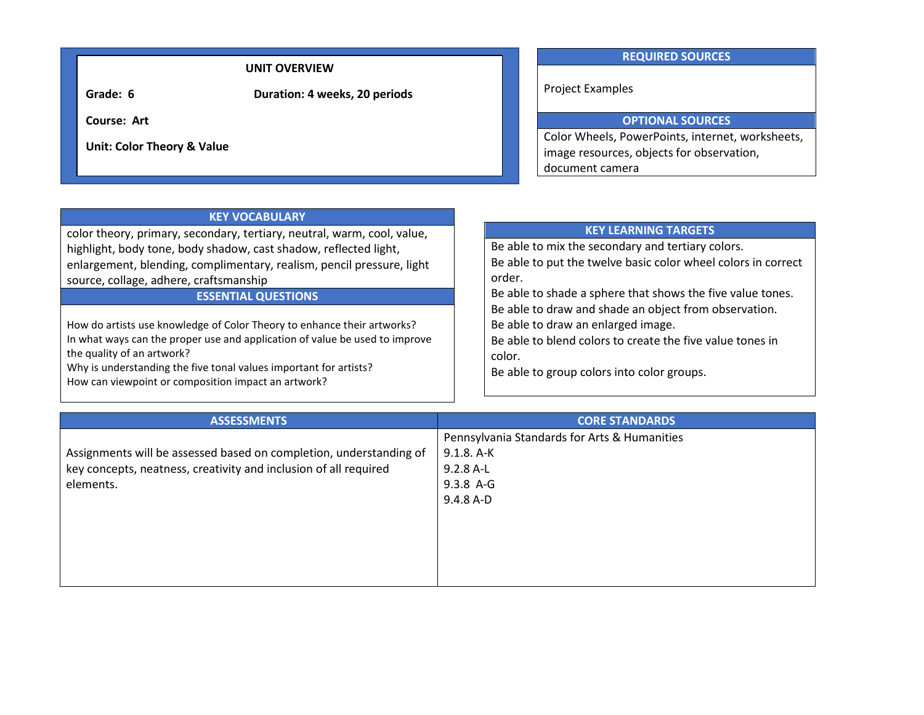### **UNIT OVERVIEW**

**Grade: 6 Duration: 4 weeks, 20 periods**

**Course: Art**

**Unit: Color Theory & Value**

### **REQUIRED SOURCES**

Project Examples

# **OPTIONAL SOURCES**

Color Wheels, PowerPoints, internet, worksheets, image resources, objects for observation, document camera

| <b>KEY VOCABULARY</b>                                                                                                                                                                                                                                                                                            |                                                                                                                                                                                                                  |
|------------------------------------------------------------------------------------------------------------------------------------------------------------------------------------------------------------------------------------------------------------------------------------------------------------------|------------------------------------------------------------------------------------------------------------------------------------------------------------------------------------------------------------------|
| color theory, primary, secondary, tertiary, neutral, warm, cool, value,                                                                                                                                                                                                                                          | <b>KEY LEARNING TARGETS</b>                                                                                                                                                                                      |
| highlight, body tone, body shadow, cast shadow, reflected light,                                                                                                                                                                                                                                                 | Be able to mix the secondary and tertiary colors.                                                                                                                                                                |
| enlargement, blending, complimentary, realism, pencil pressure, light                                                                                                                                                                                                                                            | Be able to put the twelve basic color wheel colors in correct                                                                                                                                                    |
| source, collage, adhere, craftsmanship                                                                                                                                                                                                                                                                           | order.                                                                                                                                                                                                           |
| <b>ESSENTIAL QUESTIONS</b>                                                                                                                                                                                                                                                                                       | Be able to shade a sphere that shows the five value tones.                                                                                                                                                       |
| How do artists use knowledge of Color Theory to enhance their artworks?<br>In what ways can the proper use and application of value be used to improve<br>the quality of an artwork?<br>Why is understanding the five tonal values important for artists?<br>How can viewpoint or composition impact an artwork? | Be able to draw and shade an object from observation.<br>Be able to draw an enlarged image.<br>Be able to blend colors to create the five value tones in<br>color.<br>Be able to group colors into color groups. |

| <b>ASSESSMENTS</b>                                                 | <b>CORE STANDARDS</b>                        |
|--------------------------------------------------------------------|----------------------------------------------|
|                                                                    | Pennsylvania Standards for Arts & Humanities |
| Assignments will be assessed based on completion, understanding of | $9.1.8.$ A-K                                 |
| key concepts, neatness, creativity and inclusion of all required   | $9.2.8$ A-L                                  |
| elements.                                                          | $9.3.8$ A-G                                  |
|                                                                    | 9.4.8 A-D                                    |
|                                                                    |                                              |
|                                                                    |                                              |
|                                                                    |                                              |
|                                                                    |                                              |
|                                                                    |                                              |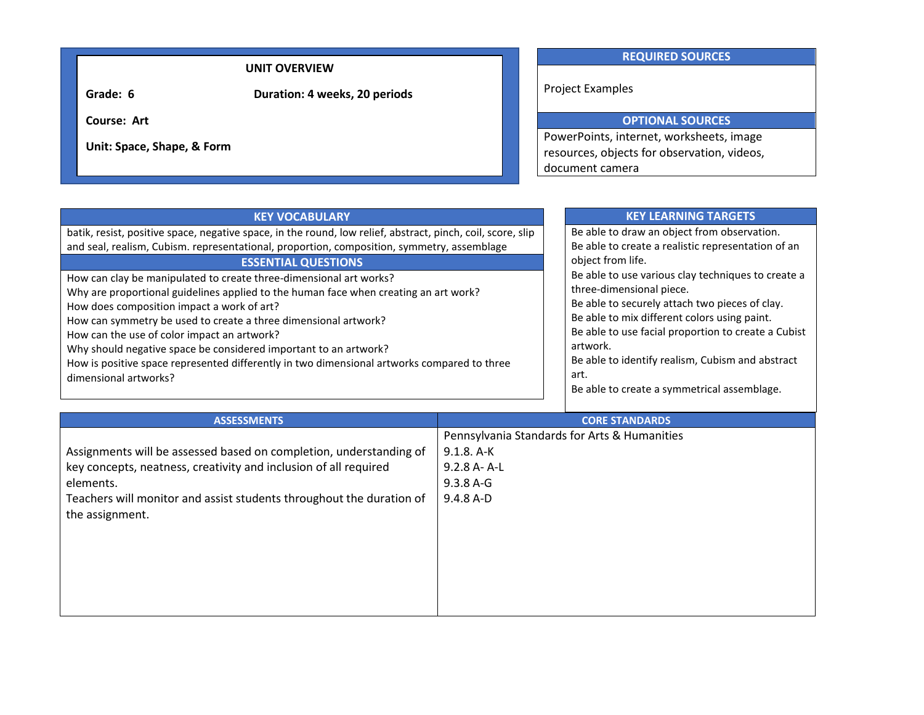### **UNIT OVERVIEW**

**Grade: 6 Duration: 4 weeks, 20 periods**

**Course: Art**

**Unit: Space, Shape, & Form** 

### **REQUIRED SOURCES**

Project Examples

## **OPTIONAL SOURCES**

PowerPoints, internet, worksheets, image resources, objects for observation, videos, document camera

| <b>KEY VOCABULARY</b>                                                                                       |                       | <b>KEY LEARNING TARGETS</b>                         |  |
|-------------------------------------------------------------------------------------------------------------|-----------------------|-----------------------------------------------------|--|
| batik, resist, positive space, negative space, in the round, low relief, abstract, pinch, coil, score, slip |                       | Be able to draw an object from observation.         |  |
| and seal, realism, Cubism. representational, proportion, composition, symmetry, assemblage                  |                       | Be able to create a realistic representation of an  |  |
| <b>ESSENTIAL QUESTIONS</b>                                                                                  |                       | object from life.                                   |  |
| How can clay be manipulated to create three-dimensional art works?                                          |                       | Be able to use various clay techniques to create a  |  |
| Why are proportional guidelines applied to the human face when creating an art work?                        |                       | three-dimensional piece.                            |  |
| How does composition impact a work of art?                                                                  |                       | Be able to securely attach two pieces of clay.      |  |
| How can symmetry be used to create a three dimensional artwork?                                             |                       | Be able to mix different colors using paint.        |  |
| How can the use of color impact an artwork?                                                                 |                       | Be able to use facial proportion to create a Cubist |  |
| Why should negative space be considered important to an artwork?                                            |                       | artwork.                                            |  |
| How is positive space represented differently in two dimensional artworks compared to three                 |                       | Be able to identify realism, Cubism and abstract    |  |
| dimensional artworks?                                                                                       |                       | art.                                                |  |
|                                                                                                             |                       | Be able to create a symmetrical assemblage.         |  |
|                                                                                                             |                       |                                                     |  |
| ASSESSMENTS                                                                                                 | <b>CORE STANDARDS</b> |                                                     |  |

| ASSESSIVIEN IS                                                       | <b>CORE STANDARDS</b>                        |
|----------------------------------------------------------------------|----------------------------------------------|
|                                                                      | Pennsylvania Standards for Arts & Humanities |
| Assignments will be assessed based on completion, understanding of   | $9.1.8.$ A-K                                 |
| key concepts, neatness, creativity and inclusion of all required     | 9.2.8 A-A-L                                  |
| elements.                                                            | $9.3.8 A - G$                                |
| Teachers will monitor and assist students throughout the duration of | $9.4.8 A-D$                                  |
| the assignment.                                                      |                                              |
|                                                                      |                                              |
|                                                                      |                                              |
|                                                                      |                                              |
|                                                                      |                                              |
|                                                                      |                                              |
|                                                                      |                                              |